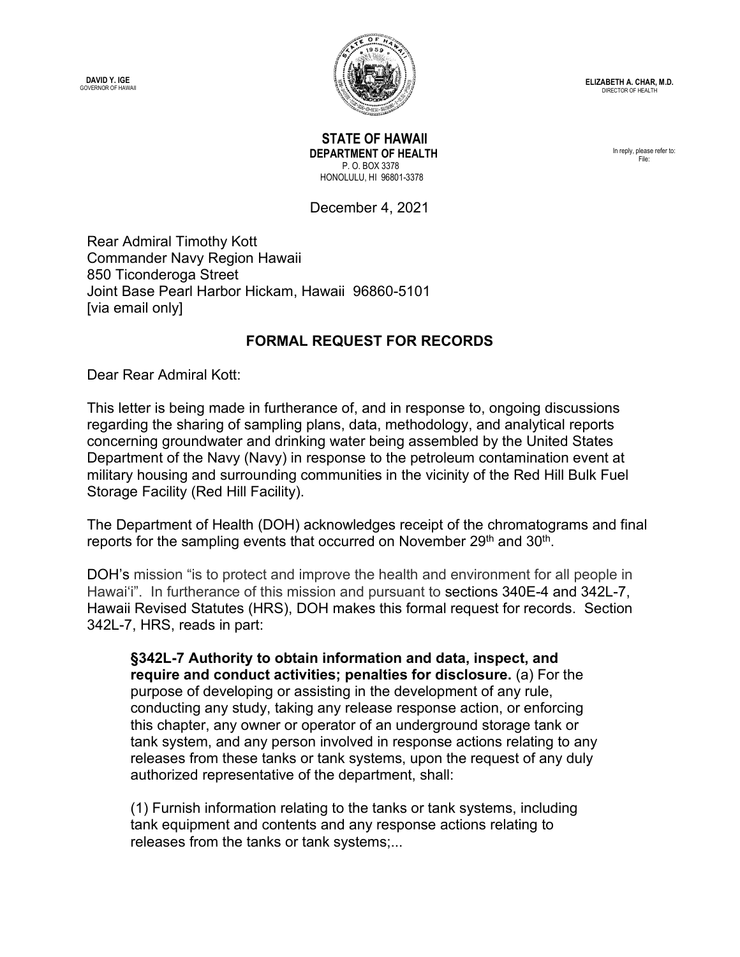**DAVID Y. IGE**<br>GOVERNOR OF HAWAII



 **STATE OF HAWAII DEPARTMENT OF HEALTH** P. O. BOX 3378 HONOLULU, HI 96801-3378

In reply, please refer to: File:

December 4, 2021

Rear Admiral Timothy Kott Commander Navy Region Hawaii 850 Ticonderoga Street Joint Base Pearl Harbor Hickam, Hawaii 96860-5101 [via email only]

## **FORMAL REQUEST FOR RECORDS**

Dear Rear Admiral Kott:

This letter is being made in furtherance of, and in response to, ongoing discussions regarding the sharing of sampling plans, data, methodology, and analytical reports concerning groundwater and drinking water being assembled by the United States Department of the Navy (Navy) in response to the petroleum contamination event at military housing and surrounding communities in the vicinity of the Red Hill Bulk Fuel Storage Facility (Red Hill Facility).

The Department of Health (DOH) acknowledges receipt of the chromatograms and final reports for the sampling events that occurred on November 29<sup>th</sup> and 30<sup>th</sup>.

DOH's mission "is to protect and improve the health and environment for all people in Hawai'i". In furtherance of this mission and pursuant to sections 340E-4 and 342L-7, Hawaii Revised Statutes (HRS), DOH makes this formal request for records. Section 342L-7, HRS, reads in part:

**§342L-7 Authority to obtain information and data, inspect, and require and conduct activities; penalties for disclosure.** (a) For the purpose of developing or assisting in the development of any rule, conducting any study, taking any release response action, or enforcing this chapter, any owner or operator of an underground storage tank or tank system, and any person involved in response actions relating to any releases from these tanks or tank systems, upon the request of any duly authorized representative of the department, shall:

(1) Furnish information relating to the tanks or tank systems, including tank equipment and contents and any response actions relating to releases from the tanks or tank systems;...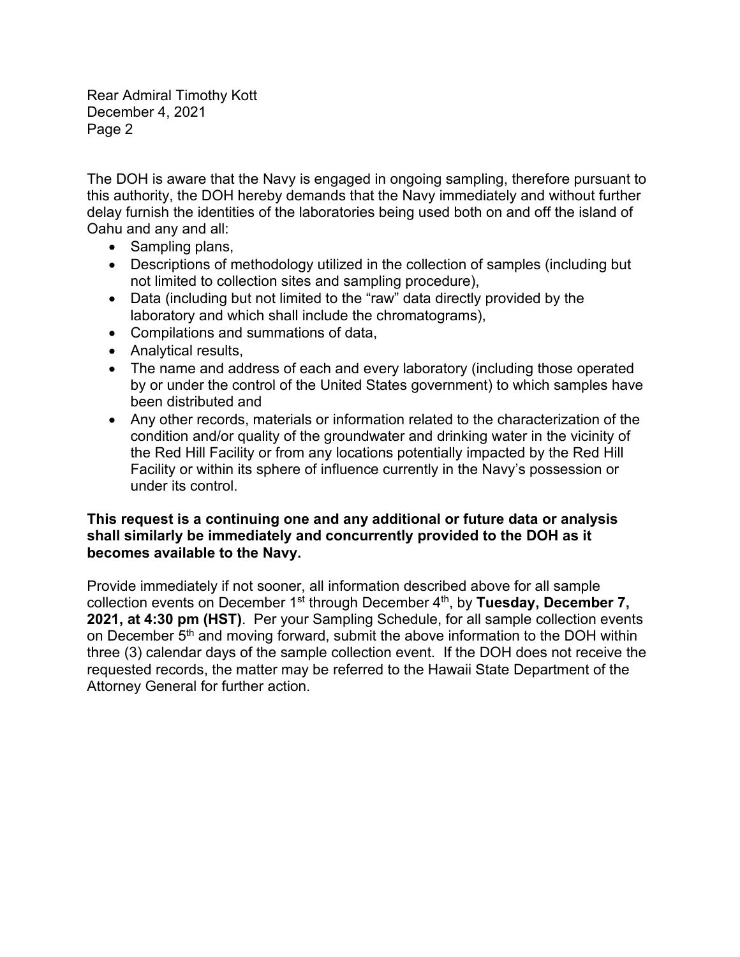Rear Admiral Timothy Kott December 4, 2021 Page 2

The DOH is aware that the Navy is engaged in ongoing sampling, therefore pursuant to this authority, the DOH hereby demands that the Navy immediately and without further delay furnish the identities of the laboratories being used both on and off the island of Oahu and any and all:

- Sampling plans,
- Descriptions of methodology utilized in the collection of samples (including but not limited to collection sites and sampling procedure),
- Data (including but not limited to the "raw" data directly provided by the laboratory and which shall include the chromatograms),
- Compilations and summations of data,
- Analytical results,
- The name and address of each and every laboratory (including those operated by or under the control of the United States government) to which samples have been distributed and
- Any other records, materials or information related to the characterization of the condition and/or quality of the groundwater and drinking water in the vicinity of the Red Hill Facility or from any locations potentially impacted by the Red Hill Facility or within its sphere of influence currently in the Navy's possession or under its control.

## **This request is a continuing one and any additional or future data or analysis shall similarly be immediately and concurrently provided to the DOH as it becomes available to the Navy.**

Provide immediately if not sooner, all information described above for all sample collection events on December 1st through December 4th, by **Tuesday, December 7, 2021, at 4:30 pm (HST)**. Per your Sampling Schedule, for all sample collection events on December 5<sup>th</sup> and moving forward, submit the above information to the DOH within three (3) calendar days of the sample collection event. If the DOH does not receive the requested records, the matter may be referred to the Hawaii State Department of the Attorney General for further action.